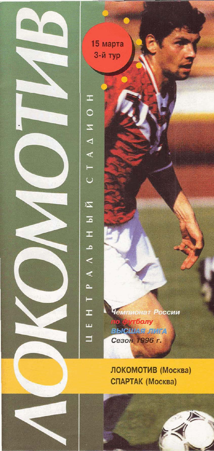

15 марта 3-й тур

 $\pm$ 

 $\circ$  $\overline{z}$ 

 $\blacktriangleleft$  $\triangle$  $\vdash$  $\mathsf{C}$ 

 $\overline{z}$ 

 $\overline{\mathbb{A}}$  $\mathbf{I}$ 

 $\lambda$   $\lambda$  b

p.  $\vdash$ 

 $\pm$ 

Ш

 $\Box$ 

Чемпионат России тболу **BbICIUASI FINITA** Сезон 1996 г.

ЛОКОМОТИВ (Москва) СПАРТАК (Москва)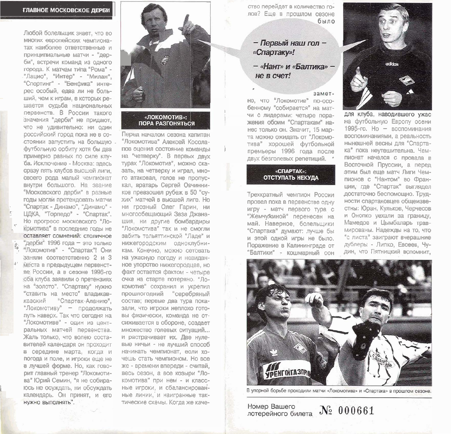#### ГЛАВНОЕ МОСКОВСКОЕ ДЕРБИ

Любой болельшик знает, что во многих европейских чемпионатах наиболее ответственные и поинципиальные матчи - "деоби", встречи команд из одного города. К матчам типа "Рома" -"Лацио", "Интер" - "Милан", "Спортинг" - "Бенфика" интерес особый, едва ли не больший, чем к играм, в которых решается судьба национальных первенств. В России такого значения "дерби" не придают. что не удивительно: ни один российский город пока не в состоянии запустить на большую. футбольную орбиту хотя бы два примерно равных по силе клуба. Исключение - Москва: здесь сразу пять клубов высшей лиги, своего рода малый чемпионат внутри большого. На звание "Московского дерби" в разные годы могли претендовать матчи "Спартак - Динамо", "Динамо" -ЦДКА, "Торпедо" - "Спартак". Но прогресс московского "Ло-КОМОТИВА" В ПОСЛЕДНИЕ ГОДЫ НЕ оставляет сомнений: столичное "дерби" 1996 года - это только "Локомотив" - "Спартак"! Они заняли соответственно 2 и 3 места в предыдущем первенстве России, а в сезоне 1996-го оба клуба заявили о претензиях на "золото". "Спартаку" нужно "ставить на место" владикав-"Спартак-Аланию", казский "Локомотиву" - продолжать путь наверх. Так что сегодня на "Локомотиве" - один из центральных матчей первенства. Жаль только, что волею составителей календаря он проходит в середине марта, когда и погода и поле, и игроки еще не в лучшей форме. Но, как говорит главный тренер "Локомотива" Юрий Семин, "я не собираюсь не осуждать, ни обсуждать календарь. Он принят, и его НУЖНО ВЫПОЛНЯТЬ".



## **ПОРА РАЗГОНЯТЬСЯ**

Перед началом сезона капитан "Локомотива" Алексей Косолапов оценил состояние команды на "четверку". В первых двух турах "Локомотив", можно сказать, на четверку и играл, много атаковал, голов не пропускал, вратарь Сергей Овчинников превзошел рубеж в 50 "сухих" матчей в высшей лиге. Но ни грозный Олег Гарин, ни многообещающий Заза Джанашия, ни другие бомбардиры "Локомотива" так и не смогли забить тольяттинской "Ладе" и нижегородским одноклубникам. Конечно, можно сетовать на ужасную погоду и невиданное упорство нижегородцев, но факт остается фактом - четыре очка на старте потеряно. "Локомотив" сохранил и укрелил прошлогодний "серебряный состав; первые два тура показали, что игроки неплохо готовы физически, команда не отсиживается в обороне, создает множество голевых ситуаций... и растрачивает их. Две нулевые ничьи - не лучший способ начинать чемпионат, если хочешь стать чемпионом. Но все же - времени впереди - считай, весь сезон, а все козыри "Локомотива" при нем - и классные игроки, и сбалансированные линии, и наигранные тактические схемы. Когда же качество перейдет в количество голов? Еще в прошлом сезоне было

### - Первый наш гол -«Спартаку»!

- «Нант» и «Балтика» He R CHeT!

#### замет-

но, что "Локомотив" по-особенному "собирается" на матчи с лидерами: четыре поражения обоим "Спартакам" нанес только он. Значит, 15 марта можно ожидать от "Локомотива" хорошей футбольной премьеры 1996 года после двух безголевых репетиций.

#### «СПАРТАК»: **ОТСТУПАТЬ НЕКУДА**

Трехкратный чемпион России провел пока в первенстве одну игру - матч первого тура с "Жемчужиной" перенесен на май. Наверное, болельшики "Спартака" думают: лучше бы и этой одной игры не было. Поражение в Калининграде от "Балтики" - кошмарный сон



для клуба, наводившего ужас на футбольную Европу осени 1995-го. Но - воспоминания воспоминаниями, а реальность нынешней весны для "Спартака" пока неутешительна. Чемпионат начался с провала в Восточной Пруссии, а перед этим был еще матч Лиги Чемпионов с "Нантом" во Франции, где "Спартак" выглядел достаточно беспомощно. Трудности спартаковцев общеизвестны: Юран, Кульков, Черчесов и Онопко уехали за границу, Мамедов и Цымбаларь травмированы. Надежды на то, что "с листа" заиграют вчерашние дублеры - Липко, Евсеев, Чудин, что Пятницкий вспомнит.



В упорной борьбе проходили матчи «Локомотива» и «Спартака» в прошлом сезоне.

лотерейного билета  $N_2$  000661 Номер Вашего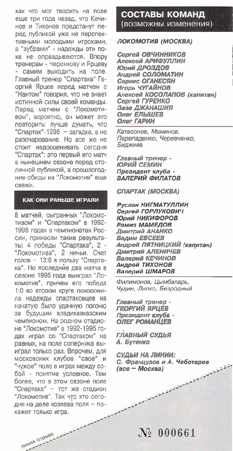как что мог творить на поле еще три года назад, что Кечинов и Тихонов предстанут перед публикой уже не перспективными молодыми игроками, а "зубрами" - надежды эти пока не оправдываются. Впору тренерам - Черенкову и Ярцеву самим выходить на поле. Главный тренер "Спартака" Георгий Ярцев перед матчем с "Нантом" говорил, что не знает истинной силы своей команды. Перед матчем с "Локомотивом", вероятно, он может это повторить: лучше думать, что "Спартак"-1996 - загадка, а не разочарование. Но все же не стоит недооценивать сегодня "Спартак": это первый его матч в нынешнем сезоне перед столичной публикой, а прошлогодние обиды на "Локомотив" еще CRAWM.

#### КАК ОНИ РАНЬШЕ ИГРАЛИ

8 матчей, сыгранных "Локомотивом" и "Спартаком" в 1992-1995 годах в чемпионатах России, принесли такие результаты: 4 победы "Спартака", 2 -"Локомотива", 2 ничьи. Счет голов - 13:6 в пользу "Спартака". Но последние два матча в сезоне 1995 года выиграл "Локомотив", причем его победа 1:0 во втором круге похоронила надежды спартаковцев на начатую было удачную погоню за будущим владикавказским чемпионом. На родном стадионе "Локомотив" в 1992-1995 годах играл со "Спартаком" на равных, на поле соперника выиграл только раз. Впрочем, для московских клубов "свое" и "чужое" поле в играх между собой - понятие условное. Тем более, что в этом сезоне поле "Спартака" - тот же стадион "Локомотив". Так что кто сегодня на деле хозяева поля - покажет только игра.

линия отрыва

СОСТАВЫ КОМАНД (возможны изменения)

#### ЛОКОМОТИВ (МОСКВА)

Сергей ОВЧИННИКОВ Алексей АРИФУЛЛИН Юрий ДРОЗДОВ Андрей СОЛОМАТИН Саркис ОГАНЕСЯН Игорь ЧУГАЙНОВ Алексей КОСОЛАПОВ (капитан) Сергей ГУРЕНКО Заза ДЖАНАШИЯ Олег ЕЛЫШЕВ Олег ГАРИН

Катасонов. Маминов. Перепаденко, Черевченко, Биджиев

Главный тренер -ЮРИЙ СЕМИН Президент клуба -ВАЛЕРИЙ ФИЛАТОВ

**CITAPTAK (MOCKBA)** 

Руслан НИГМАТУЛЛИН Сергей ГОРЛУКОВИЧ Юрий НИКИФОРОВ Рамиз МАМЕДОВ Дмитрий АНАНКО **BADHM EBCEEB** Андрей ПЯТНИЦКИЙ (капитан) Дмитрий АЛЕНИЧЕВ Валерий КЕЧИНОВ Андрей ТИХОНОВ Валерий ШМАРОВ

Филимонов, Цымбаларь, Чудин, Липко, Безродный

Главный тренер -ГЕОРГИЙ ЯРЦЕВ Президент клуба -**OJIET POMAHLIEB** 

ГЛАВНЫЙ СУДЬЯ А. Бутенко

СУДЬИ НА ЛИНИИ: С. Французов и А. Чеботарев Automobile Companies Companies (все – Москва)

 $\mathcal{N}$  000661